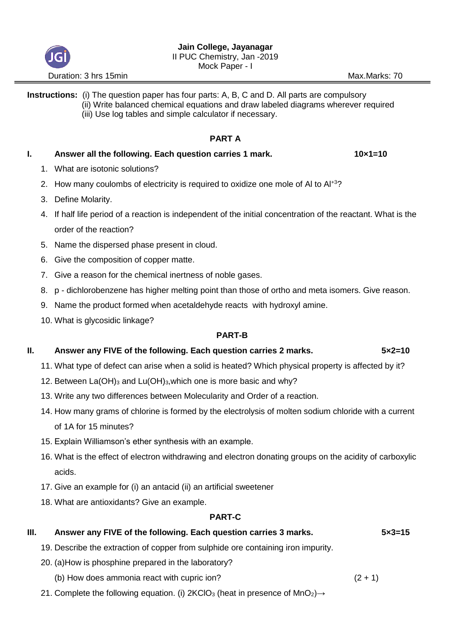

## **Instructions:** (i) The question paper has four parts: A, B, C and D. All parts are compulsory (ii) Write balanced chemical equations and draw labeled diagrams wherever required (iii) Use log tables and simple calculator if necessary.

# **PART A**

## **I.** Answer all the following. Each question carries 1 mark. **10x1=10**

- 1. What are isotonic solutions?
- 2. How many coulombs of electricity is required to oxidize one mole of Al to Al+3?
- 3. Define Molarity.
- 4. If half life period of a reaction is independent of the initial concentration of the reactant. What is the order of the reaction?
- 5. Name the dispersed phase present in cloud.
- 6. Give the composition of copper matte.
- 7. Give a reason for the chemical inertness of noble gases.
- 8. p dichlorobenzene has higher melting point than those of ortho and meta isomers. Give reason.
- 9. Name the product formed when acetaldehyde reacts with hydroxyl amine.
- 10. What is glycosidic linkage?

#### **PART-B**

### **II. Answer any FIVE of the following. Each question carries 2 marks. 5×2=10**

- 11. What type of defect can arise when a solid is heated? Which physical property is affected by it?
- 12. Between  $La(OH)_3$  and  $Lu(OH)_3$ , which one is more basic and why?
- 13. Write any two differences between Molecularity and Order of a reaction.
- 14. How many grams of chlorine is formed by the electrolysis of molten sodium chloride with a current of 1A for 15 minutes?
- 15. Explain Williamson's ether synthesis with an example.
- 16. What is the effect of electron withdrawing and electron donating groups on the acidity of carboxylic acids.
- 17. Give an example for (i) an antacid (ii) an artificial sweetener
- 18. What are antioxidants? Give an example.

# **PART-C**

# **III.** Answer any FIVE of the following. Each question carries 3 marks. 5x3=15

- 19. Describe the extraction of copper from sulphide ore containing iron impurity.
- 20. (a)How is phosphine prepared in the laboratory?
- (b) How does ammonia react with cupric ion?  $(2 + 1)$
- 21. Complete the following equation. (i)  $2KClO<sub>3</sub>$  (heat in presence of MnO<sub>2</sub>) $\rightarrow$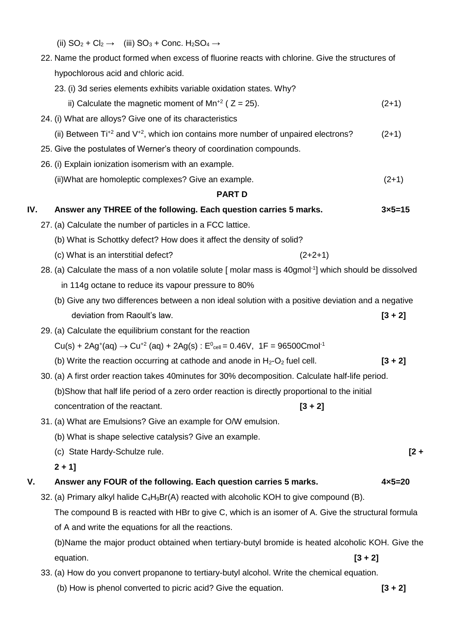|  | (ii) $SO_2 + Cl_2 \rightarrow$ (iii) $SO_3 + Conc. H_2SO_4 \rightarrow$ |
|--|-------------------------------------------------------------------------|
|--|-------------------------------------------------------------------------|

| 22. Name the product formed when excess of fluorine reacts with chlorine. Give the structures of |  |  |  |  |
|--------------------------------------------------------------------------------------------------|--|--|--|--|
| hypochlorous acid and chloric acid.                                                              |  |  |  |  |

23. (i) 3d series elements exhibits variable oxidation states. Why?

| ii) Calculate the magnetic moment of $Mn^{2}$ ( $Z = 25$ ). | $(2+1)$ |
|-------------------------------------------------------------|---------|
|-------------------------------------------------------------|---------|

- 24. (i) What are alloys? Give one of its characteristics (ii) Between  $\text{Ti}^{+2}$  and  $\text{V}^{+2}$ , which ion contains more number of unpaired electrons? (2+1)
- 25. Give the postulates of Werner's theory of coordination compounds.
- 26. (i) Explain ionization isomerism with an example.
	- (ii)What are homoleptic complexes? Give an example. (2+1)

#### **PART D**

### **IV.** Answer any THREE of the following. Each question carries 5 marks.  $3 \times 5 = 15$

- 27. (a) Calculate the number of particles in a FCC lattice.
	- (b) What is Schottky defect? How does it affect the density of solid?
	- (c) What is an interstitial defect?  $(2+2+1)$
- 28. (a) Calculate the mass of a non volatile solute [ molar mass is 40gmol-1 ] which should be dissolved in 114g octane to reduce its vapour pressure to 80%
	- (b) Give any two differences between a non ideal solution with a positive deviation and a negative deviation from Raoult's law. **[3 + 2]**
- 29. (a) Calculate the equilibrium constant for the reaction

 $Cu(s) + 2Ag^{(}) \rightarrow Cu^{+2}$  (aq) + 2Ag(s) :  $E_{cell}^{0} = 0.46V$ , 1F = 96500Cmol<sup>-1</sup>

- (b) Write the reaction occurring at cathode and anode in  $H_2-O_2$  fuel cell. **[3 + 2]**
- 30. (a) A first order reaction takes 40minutes for 30% decomposition. Calculate half-life period. (b)Show that half life period of a zero order reaction is directly proportional to the initial concentration of the reactant. **[3 + 2]**
- 31. (a) What are Emulsions? Give an example for O/W emulsion.
	- (b) What is shape selective catalysis? Give an example.
	- (c) State Hardy-Schulze rule. **[2 +**
	- **2 + 1]**

### **V. Answer any FOUR of the following. Each question carries 5 marks. 4×5=20**

32. (a) Primary alkyl halide  $C_4H_9Br(A)$  reacted with alcoholic KOH to give compound (B). The compound B is reacted with HBr to give C, which is an isomer of A. Give the structural formula of A and write the equations for all the reactions.

(b)Name the major product obtained when tertiary-butyl bromide is heated alcoholic KOH. Give the equation. **[3 + 2]**

- 33. (a) How do you convert propanone to tertiary-butyl alcohol. Write the chemical equation.
	- (b) How is phenol converted to picric acid? Give the equation. **[3 + 2]**